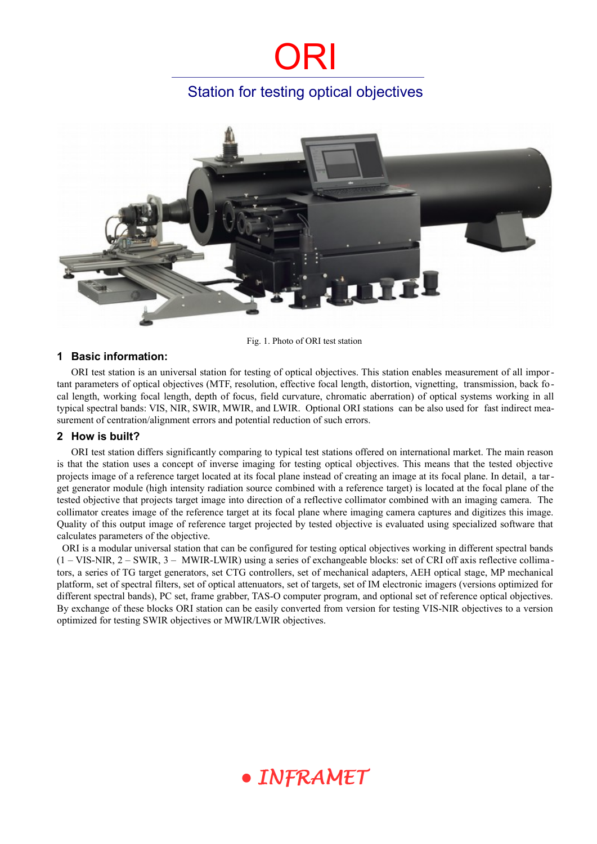### Station for testing optical objectives



Fig. 1. Photo of ORI test station

#### **1 Basic information:**

ORI test station is an universal station for testing of optical objectives. This station enables measurement of all important parameters of optical objectives (MTF, resolution, effective focal length, distortion, vignetting, transmission, back focal length, working focal length, depth of focus, field curvature, chromatic aberration) of optical systems working in all typical spectral bands: VIS, NIR, SWIR, MWIR, and LWIR. Optional ORI stations can be also used for fast indirect measurement of centration/alignment errors and potential reduction of such errors.

#### **2 How is built?**

ORI test station differs significantly comparing to typical test stations offered on international market. The main reason is that the station uses a concept of inverse imaging for testing optical objectives. This means that the tested objective projects image of a reference target located at its focal plane instead of creating an image at its focal plane. In detail, a target generator module (high intensity radiation source combined with a reference target) is located at the focal plane of the tested objective that projects target image into direction of a reflective collimator combined with an imaging camera. The collimator creates image of the reference target at its focal plane where imaging camera captures and digitizes this image. Quality of this output image of reference target projected by tested objective is evaluated using specialized software that calculates parameters of the objective.

 ORI is a modular universal station that can be configured for testing optical objectives working in different spectral bands (1 – VIS-NIR, 2 – SWIR, 3 – MWIR-LWIR) using a series of exchangeable blocks: set of CRI off axis reflective collima tors, a series of TG target generators, set CTG controllers, set of mechanical adapters, AEH optical stage, MP mechanical platform, set of spectral filters, set of optical attenuators, set of targets, set of IM electronic imagers (versions optimized for different spectral bands), PC set, frame grabber, TAS-O computer program, and optional set of reference optical objectives. By exchange of these blocks ORI station can be easily converted from version for testing VIS-NIR objectives to a version optimized for testing SWIR objectives or MWIR/LWIR objectives.

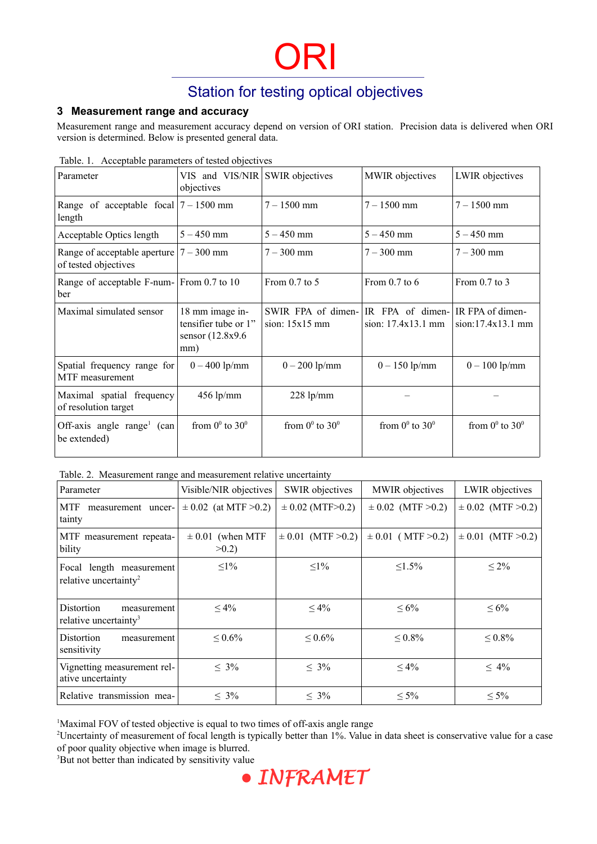### Station for testing optical objectives

#### **3 Measurement range and accuracy**

Measurement range and measurement accuracy depend on version of ORI station. Precision data is delivered when ORI version is determined. Below is presented general data.

| Parameter                                            | VIS and VIS/NIR SWIR objectives<br>objectives                       |                                        | MWIR objectives                        | LWIR objectives                       |
|------------------------------------------------------|---------------------------------------------------------------------|----------------------------------------|----------------------------------------|---------------------------------------|
| Range of acceptable focal $ 7 - 1500$ mm<br>length   |                                                                     | $7 - 1500$ mm                          | $7 - 1500$ mm                          | $7 - 1500$ mm                         |
| Acceptable Optics length                             | $5 - 450$ mm                                                        | $5 - 450$ mm                           | $5 - 450$ mm                           | $5 - 450$ mm                          |
| Range of acceptable aperture<br>of tested objectives | $7 - 300$ mm                                                        | $7 - 300$ mm                           | $7 - 300$ mm                           | $7 - 300$ mm                          |
| Range of acceptable F-num- From 0.7 to 10<br>ber     |                                                                     | From 0.7 to 5                          | From $0.7$ to $6$                      | From 0.7 to 3                         |
| Maximal simulated sensor                             | 18 mm image in-<br>tensifier tube or 1"<br>sensor (12.8x9.6)<br>mm) | SWIR FPA of dimen-<br>sion: $15x15$ mm | IR FPA of dimen-<br>sion: 17.4x13.1 mm | IR FPA of dimen-<br>sion:17.4x13.1 mm |
| Spatial frequency range for<br>MTF measurement       | $0 - 400$ lp/mm                                                     | $0 - 200$ lp/mm                        | $0 - 150$ lp/mm                        | $0 - 100$ lp/mm                       |
| Maximal spatial frequency<br>of resolution target    | $456$ lp/mm                                                         | $228$ lp/mm                            |                                        |                                       |
| Off-axis angle range $\lceil$ (can<br>be extended)   | from $0^0$ to $30^0$                                                | from $0^0$ to $30^0$                   | from $0^0$ to $30^0$                   | from $0^0$ to $30^0$                  |

Table. 1. Acceptable parameters of tested objectives

Table. 2. Measurement range and measurement relative uncertainty

| Parameter                                                      | Visible/NIR objectives           | <b>SWIR</b> objectives | MWIR objectives       | LWIR objectives        |
|----------------------------------------------------------------|----------------------------------|------------------------|-----------------------|------------------------|
| MTF<br>measurement uncer-<br>tainty                            | $\pm 0.02$ (at MTF >0.2)         | $\pm$ 0.02 (MTF>0.2)   | $\pm 0.02$ (MTF >0.2) | $\pm 0.02$ (MTF > 0.2) |
| MTF measurement repeata-<br>bility                             | $\pm 0.01$ (when MTF<br>$>0.2$ ) | $\pm 0.01$ (MTF >0.2)  | $\pm 0.01$ (MTF >0.2) | $\pm 0.01$ (MTF >0.2)  |
| Focal length measurement<br>relative uncertainty <sup>2</sup>  | $\leq$ 1%                        | $\leq$ 1%              | $\leq 1.5\%$          | $\leq 2\%$             |
| Distortion<br>measurement<br>relative uncertainty <sup>3</sup> | $\leq 4\%$                       | $\leq 4\%$             | $\leq 6\%$            | $\leq 6\%$             |
| Distortion<br>measurement<br>sensitivity                       | $\leq 0.6\%$                     | $\leq 0.6\%$           | $\leq 0.8\%$          | $\leq 0.8\%$           |
| Vignetting measurement rel-<br>ative uncertainty               | $\leq 3\%$                       | $\leq 3\%$             | $\leq 4\%$            | $\leq 4\%$             |
| Relative transmission mea-                                     | $\leq 3\%$                       | $\leq 3\%$             | $\leq 5\%$            | $\leq 5\%$             |

<span id="page-1-0"></span><sup>1</sup>Maximal FOV of tested objective is equal to two times of off-axis angle range

<span id="page-1-1"></span><sup>2</sup>Uncertainty of measurement of focal length is typically better than 1%. Value in data sheet is conservative value for a case of poor quality objective when image is blurred.

<span id="page-1-2"></span><sup>3</sup>But not better than indicated by sensitivity value

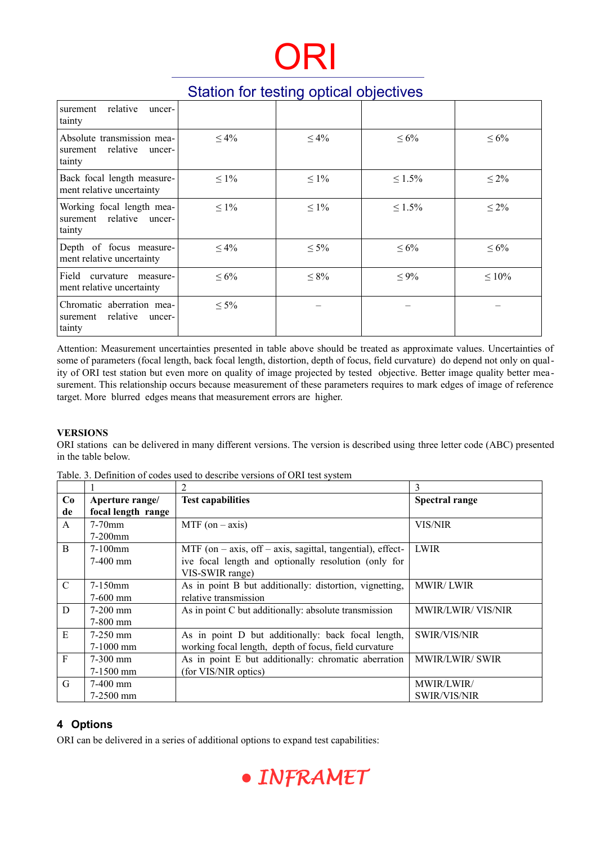### Station for testing optical objectives

| surement relative<br>uncer-<br>tainty                               |            |            |              |             |
|---------------------------------------------------------------------|------------|------------|--------------|-------------|
| Absolute transmission mea-<br>surement relative<br>uncer-<br>tainty | $\leq 4\%$ | $\leq 4\%$ | $\leq 6\%$   | $\leq 6\%$  |
| Back focal length measure-<br>ment relative uncertainty             | $\leq 1\%$ | $\leq 1\%$ | $\leq 1.5\%$ | $\leq 2\%$  |
| Working focal length mea-<br>surement relative uncer-<br>tainty     | $\leq 1\%$ | $\leq 1\%$ | $\leq 1.5\%$ | $\leq 2\%$  |
| Depth of focus measure-<br>ment relative uncertainty                | $\leq 4\%$ | $\leq 5\%$ | $\leq 6\%$   | $\leq 6\%$  |
| Field<br>curvature measure-<br>ment relative uncertainty            | $\leq 6\%$ | $\leq 8\%$ | $\leq 9\%$   | $\leq 10\%$ |
| Chromatic aberration mea-<br>surement relative<br>uncer-<br>tainty  | $\leq 5\%$ |            |              |             |

Attention: Measurement uncertainties presented in table above should be treated as approximate values. Uncertainties of some of parameters (focal length, back focal length, distortion, depth of focus, field curvature) do depend not only on quality of ORI test station but even more on quality of image projected by tested objective. Better image quality better mea surement. This relationship occurs because measurement of these parameters requires to mark edges of image of reference target. More blurred edges means that measurement errors are higher.

#### **VERSIONS**

ORI stations can be delivered in many different versions. The version is described using three letter code (ABC) presented in the table below.

|               |                    | 2                                                              | 3                        |
|---------------|--------------------|----------------------------------------------------------------|--------------------------|
| Co            | Aperture range/    | <b>Test capabilities</b>                                       | <b>Spectral range</b>    |
| de            | focal length range |                                                                |                          |
| A             | $7-70$ mm          | MTF (on $-$ axis)                                              | VIS/NIR                  |
|               | $7-200$ mm         |                                                                |                          |
| <sub>B</sub>  | $7-100$ mm         | MTF (on $-$ axis, off $-$ axis, sagittal, tangential), effect- | <b>LWIR</b>              |
|               | $7-400$ mm         | ive focal length and optionally resolution (only for           |                          |
|               |                    | VIS-SWIR range)                                                |                          |
| $\mathcal{C}$ | $7-150$ mm         | As in point B but additionally: distortion, vignetting,        | <b>MWIR/LWIR</b>         |
|               | $7-600$ mm         | relative transmission                                          |                          |
| D             | $7-200$ mm         | As in point C but additionally: absolute transmission          | <b>MWIR/LWIR/VIS/NIR</b> |
|               | $7-800$ mm         |                                                                |                          |
| E             | $7-250$ mm         | As in point D but additionally: back focal length,             | <b>SWIR/VIS/NIR</b>      |
|               | $7-1000$ mm        | working focal length, depth of focus, field curvature          |                          |
| $\mathbf{F}$  | $7-300$ mm         | As in point E but additionally: chromatic aberration           | <b>MWIR/LWIR/ SWIR</b>   |
|               | $7-1500$ mm        | (for VIS/NIR optics)                                           |                          |
| G             | $7-400$ mm         |                                                                | MWIR/LWIR/               |
|               | $7-2500$ mm        |                                                                | <b>SWIR/VIS/NIR</b>      |

Table. 3. Definition of codes used to describe versions of ORI test system

#### **4 Options**

ORI can be delivered in a series of additional options to expand test capabilities:

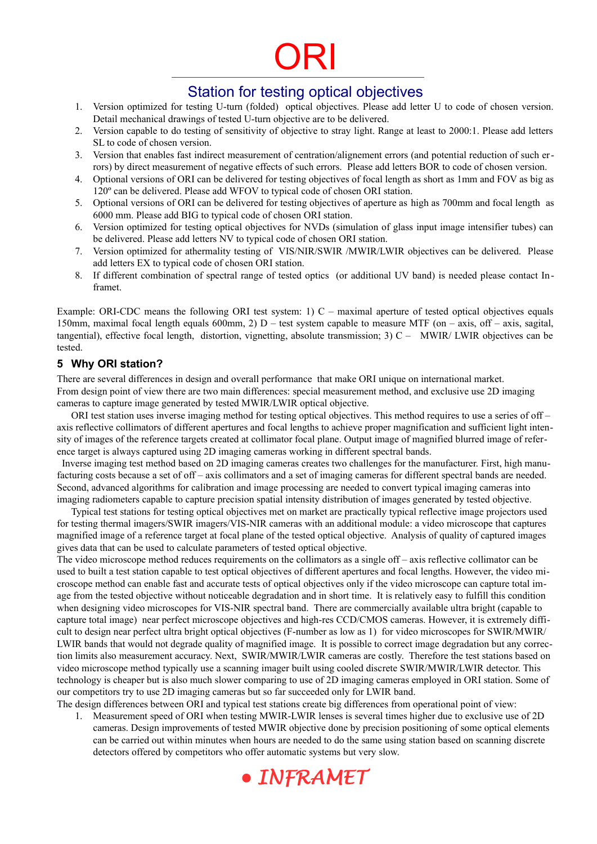### Station for testing optical objectives

- 1. Version optimized for testing U-turn (folded) optical objectives. Please add letter U to code of chosen version. Detail mechanical drawings of tested U-turn objective are to be delivered.
- 2. Version capable to do testing of sensitivity of objective to stray light. Range at least to 2000:1. Please add letters SL to code of chosen version.
- 3. Version that enables fast indirect measurement of centration/alignement errors (and potential reduction of such errors) by direct measurement of negative effects of such errors. Please add letters BOR to code of chosen version.
- 4. Optional versions of ORI can be delivered for testing objectives of focal length as short as 1mm and FOV as big as 120º can be delivered. Please add WFOV to typical code of chosen ORI station.
- 5. Optional versions of ORI can be delivered for testing objectives of aperture as high as 700mm and focal length as 6000 mm. Please add BIG to typical code of chosen ORI station.
- 6. Version optimized for testing optical objectives for NVDs (simulation of glass input image intensifier tubes) can be delivered. Please add letters NV to typical code of chosen ORI station.
- 7. Version optimized for athermality testing of VIS/NIR/SWIR /MWIR/LWIR objectives can be delivered. Please add letters EX to typical code of chosen ORI station.
- 8. If different combination of spectral range of tested optics (or additional UV band) is needed please contact Inframet.

Example: ORI-CDC means the following ORI test system: 1) C – maximal aperture of tested optical objectives equals 150mm, maximal focal length equals 600mm, 2)  $D$  – test system capable to measure MTF (on – axis, off – axis, sagital, tangential), effective focal length, distortion, vignetting, absolute transmission; 3) C – MWIR/ LWIR objectives can be tested.

#### **5 Why ORI station?**

There are several differences in design and overall performance that make ORI unique on international market. From design point of view there are two main differences: special measurement method, and exclusive use 2D imaging cameras to capture image generated by tested MWIR/LWIR optical objective.

ORI test station uses inverse imaging method for testing optical objectives. This method requires to use a series of off – axis reflective collimators of different apertures and focal lengths to achieve proper magnification and sufficient light intensity of images of the reference targets created at collimator focal plane. Output image of magnified blurred image of reference target is always captured using 2D imaging cameras working in different spectral bands.

 Inverse imaging test method based on 2D imaging cameras creates two challenges for the manufacturer. First, high manufacturing costs because a set of off – axis collimators and a set of imaging cameras for different spectral bands are needed. Second, advanced algorithms for calibration and image processing are needed to convert typical imaging cameras into imaging radiometers capable to capture precision spatial intensity distribution of images generated by tested objective.

Typical test stations for testing optical objectives met on market are practically typical reflective image projectors used for testing thermal imagers/SWIR imagers/VIS-NIR cameras with an additional module: a video microscope that captures magnified image of a reference target at focal plane of the tested optical objective. Analysis of quality of captured images gives data that can be used to calculate parameters of tested optical objective.

The video microscope method reduces requirements on the collimators as a single off – axis reflective collimator can be used to built a test station capable to test optical objectives of different apertures and focal lengths. However, the video microscope method can enable fast and accurate tests of optical objectives only if the video microscope can capture total image from the tested objective without noticeable degradation and in short time. It is relatively easy to fulfill this condition when designing video microscopes for VIS-NIR spectral band. There are commercially available ultra bright (capable to capture total image) near perfect microscope objectives and high-res CCD/CMOS cameras. However, it is extremely difficult to design near perfect ultra bright optical objectives (F-number as low as 1) for video microscopes for SWIR/MWIR/ LWIR bands that would not degrade quality of magnified image. It is possible to correct image degradation but any correction limits also measurement accuracy. Next, SWIR/MWIR/LWIR cameras are costly. Therefore the test stations based on video microscope method typically use a scanning imager built using cooled discrete SWIR/MWIR/LWIR detector. This technology is cheaper but is also much slower comparing to use of 2D imaging cameras employed in ORI station. Some of our competitors try to use 2D imaging cameras but so far succeeded only for LWIR band.

The design differences between ORI and typical test stations create big differences from operational point of view: 1. Measurement speed of ORI when testing MWIR-LWIR lenses is several times higher due to exclusive use of 2D cameras. Design improvements of tested MWIR objective done by precision positioning of some optical elements can be carried out within minutes when hours are needed to do the same using station based on scanning discrete detectors offered by competitors who offer automatic systems but very slow.